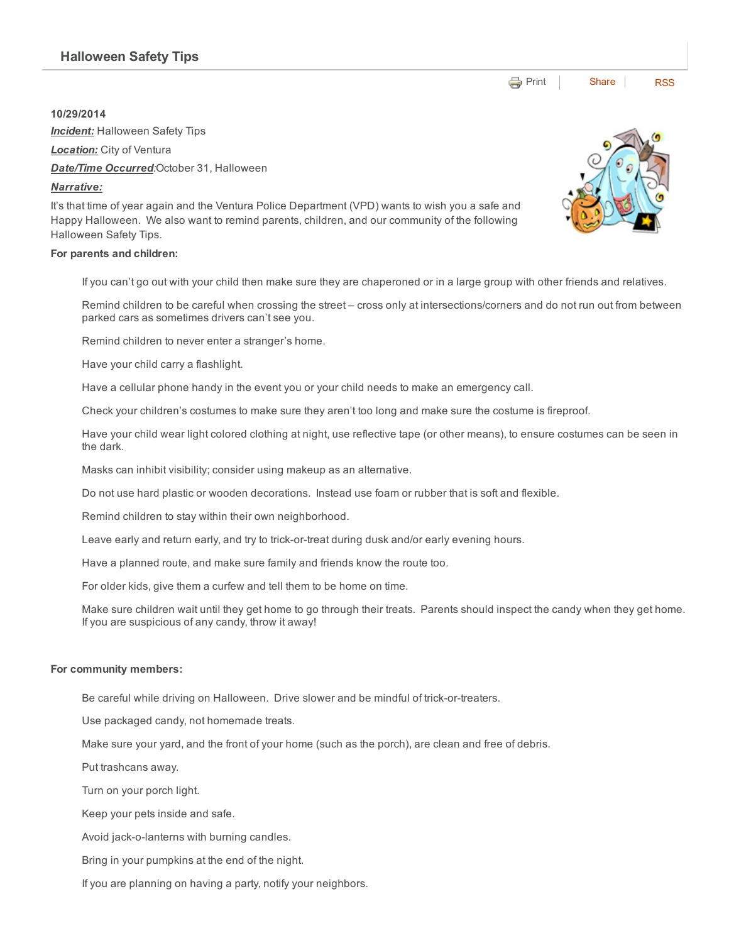## 10/29/2014

**Incident:** Halloween Safety Tips

*Location:* City of Ventura

*Date/Time Occurred:*October 31, Halloween

### *Narrative:*

It's that time of year again and the Ventura Police Department (VPD) wants to wish you a safe and Happy Halloween. We also want to remind parents, children, and our community of the following Halloween Safety Tips.

#### For parents and children:

If you can't go out with your child then make sure they are chaperoned or in a large group with other friends and relatives.

Remind children to be careful when crossing the street – cross only at intersections/corners and do not run out from between parked cars as sometimes drivers can't see you.

Remind children to never enter a stranger's home.

Have your child carry a flashlight.

Have a cellular phone handy in the event you or your child needs to make an emergency call.

Check your children's costumes to make sure they aren't too long and make sure the costume is fireproof.

Have your child wear light colored clothing at night, use reflective tape (or other means), to ensure costumes can be seen in the dark.

Masks can inhibit visibility; consider using makeup as an alternative.

Do not use hard plastic or wooden decorations. Instead use foam or rubber that is soft and flexible.

Remind children to stay within their own neighborhood.

Leave early and return early, and try to trick-or-treat during dusk and/or early evening hours.

Have a planned route, and make sure family and friends know the route too.

For older kids, give them a curfew and tell them to be home on time.

Make sure children wait until they get home to go through their treats. Parents should inspect the candy when they get home. If you are suspicious of any candy, throw it away!

#### For community members:

Be careful while driving on Halloween. Drive slower and be mindful of trick-or-treaters.

Use packaged candy, not homemade treats.

Make sure your yard, and the front of your home (such as the porch), are clean and free of debris.

Put trashcans away.

Turn on your porch light.

Keep your pets inside and safe.

Avoid jack-o-lanterns with burning candles.

Bring in your pumpkins at the end of the night.

If you are planning on having a party, notify your neighbors.



**e** [Print](http://www.cityofventura.net/print/16204) | [Share](javascript:void(0)) | [RSS](http://www.cityofventura.net/feed/press_release/rss.xml)